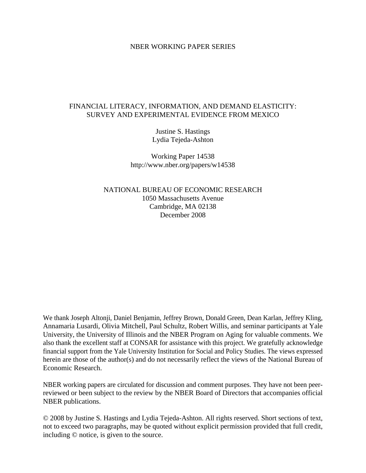#### NBER WORKING PAPER SERIES

## FINANCIAL LITERACY, INFORMATION, AND DEMAND ELASTICITY: SURVEY AND EXPERIMENTAL EVIDENCE FROM MEXICO

Justine S. Hastings Lydia Tejeda-Ashton

Working Paper 14538 http://www.nber.org/papers/w14538

NATIONAL BUREAU OF ECONOMIC RESEARCH 1050 Massachusetts Avenue Cambridge, MA 02138 December 2008

We thank Joseph Altonji, Daniel Benjamin, Jeffrey Brown, Donald Green, Dean Karlan, Jeffrey Kling, Annamaria Lusardi, Olivia Mitchell, Paul Schultz, Robert Willis, and seminar participants at Yale University, the University of Illinois and the NBER Program on Aging for valuable comments. We also thank the excellent staff at CONSAR for assistance with this project. We gratefully acknowledge financial support from the Yale University Institution for Social and Policy Studies. The views expressed herein are those of the author(s) and do not necessarily reflect the views of the National Bureau of Economic Research.

NBER working papers are circulated for discussion and comment purposes. They have not been peerreviewed or been subject to the review by the NBER Board of Directors that accompanies official NBER publications.

© 2008 by Justine S. Hastings and Lydia Tejeda-Ashton. All rights reserved. Short sections of text, not to exceed two paragraphs, may be quoted without explicit permission provided that full credit, including © notice, is given to the source.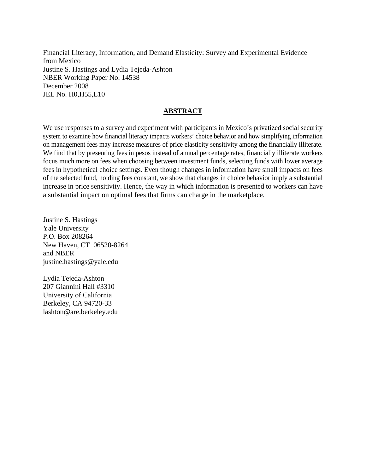Financial Literacy, Information, and Demand Elasticity: Survey and Experimental Evidence from Mexico Justine S. Hastings and Lydia Tejeda-Ashton NBER Working Paper No. 14538 December 2008 JEL No. H0,H55,L10

## **ABSTRACT**

We use responses to a survey and experiment with participants in Mexico's privatized social security system to examine how financial literacy impacts workers' choice behavior and how simplifying information on management fees may increase measures of price elasticity sensitivity among the financially illiterate. We find that by presenting fees in pesos instead of annual percentage rates, financially illiterate workers focus much more on fees when choosing between investment funds, selecting funds with lower average fees in hypothetical choice settings. Even though changes in information have small impacts on fees of the selected fund, holding fees constant, we show that changes in choice behavior imply a substantial increase in price sensitivity. Hence, the way in which information is presented to workers can have a substantial impact on optimal fees that firms can charge in the marketplace.

Justine S. Hastings Yale University P.O. Box 208264 New Haven, CT 06520-8264 and NBER justine.hastings@yale.edu

Lydia Tejeda-Ashton 207 Giannini Hall #3310 University of California Berkeley, CA 94720-33 lashton@are.berkeley.edu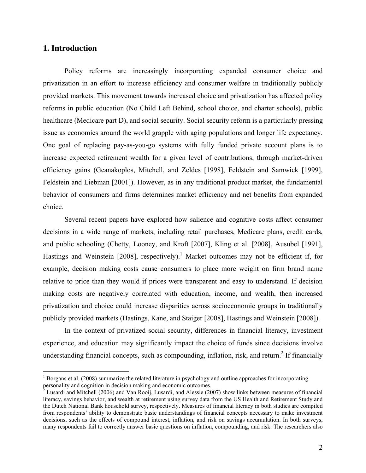# **1. Introduction**

1

Policy reforms are increasingly incorporating expanded consumer choice and privatization in an effort to increase efficiency and consumer welfare in traditionally publicly provided markets. This movement towards increased choice and privatization has affected policy reforms in public education (No Child Left Behind, school choice, and charter schools), public healthcare (Medicare part D), and social security. Social security reform is a particularly pressing issue as economies around the world grapple with aging populations and longer life expectancy. One goal of replacing pay-as-you-go systems with fully funded private account plans is to increase expected retirement wealth for a given level of contributions, through market-driven efficiency gains (Geanakoplos, Mitchell, and Zeldes [1998], Feldstein and Samwick [1999], Feldstein and Liebman [2001]). However, as in any traditional product market, the fundamental behavior of consumers and firms determines market efficiency and net benefits from expanded choice.

Several recent papers have explored how salience and cognitive costs affect consumer decisions in a wide range of markets, including retail purchases, Medicare plans, credit cards, and public schooling (Chetty, Looney, and Kroft [2007], Kling et al. [2008], Ausubel [1991], Hastings and Weinstein [2008], respectively).<sup>1</sup> Market outcomes may not be efficient if, for example, decision making costs cause consumers to place more weight on firm brand name relative to price than they would if prices were transparent and easy to understand. If decision making costs are negatively correlated with education, income, and wealth, then increased privatization and choice could increase disparities across socioeconomic groups in traditionally publicly provided markets (Hastings, Kane, and Staiger [2008], Hastings and Weinstein [2008]).

In the context of privatized social security, differences in financial literacy, investment experience, and education may significantly impact the choice of funds since decisions involve understanding financial concepts, such as compounding, inflation, risk, and return.<sup>2</sup> If financially

<sup>&</sup>lt;sup>1</sup> Borgans et al. (2008) summarize the related literature in psychology and outline approaches for incorporating personality and cognition in decision making and economic outcomes.

<sup>&</sup>lt;sup>2</sup> Lusardi and Mitchell (2006) and Van Rooij, Lusardi, and Alessie (2007) show links between measures of financial literacy, savings behavior, and wealth at retirement using survey data from the US Health and Retirement Study and the Dutch National Bank household survey, respectively. Measures of financial literacy in both studies are compiled from respondents' ability to demonstrate basic understandings of financial concepts necessary to make investment decisions, such as the effects of compound interest, inflation, and risk on savings accumulation. In both surveys, many respondents fail to correctly answer basic questions on inflation, compounding, and risk. The researchers also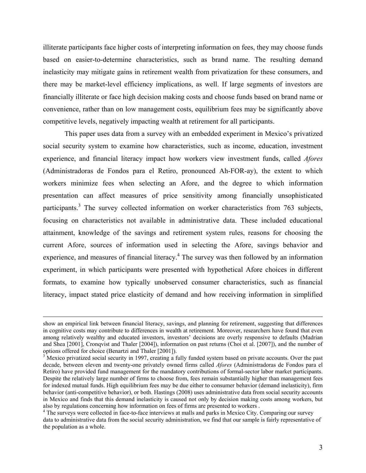illiterate participants face higher costs of interpreting information on fees, they may choose funds based on easier-to-determine characteristics, such as brand name. The resulting demand inelasticity may mitigate gains in retirement wealth from privatization for these consumers, and there may be market-level efficiency implications, as well. If large segments of investors are financially illiterate or face high decision making costs and choose funds based on brand name or convenience, rather than on low management costs, equilibrium fees may be significantly above competitive levels, negatively impacting wealth at retirement for all participants.

 This paper uses data from a survey with an embedded experiment in Mexico's privatized social security system to examine how characteristics, such as income, education, investment experience, and financial literacy impact how workers view investment funds, called *Afores* (Administradoras de Fondos para el Retiro, pronounced Ah-FOR-ay), the extent to which workers minimize fees when selecting an Afore, and the degree to which information presentation can affect measures of price sensitivity among financially unsophisticated participants.<sup>3</sup> The survey collected information on worker characteristics from 763 subjects, focusing on characteristics not available in administrative data. These included educational attainment, knowledge of the savings and retirement system rules, reasons for choosing the current Afore, sources of information used in selecting the Afore, savings behavior and experience, and measures of financial literacy.<sup>4</sup> The survey was then followed by an information experiment, in which participants were presented with hypothetical Afore choices in different formats, to examine how typically unobserved consumer characteristics, such as financial literacy, impact stated price elasticity of demand and how receiving information in simplified

show an empirical link between financial literacy, savings, and planning for retirement, suggesting that differences in cognitive costs may contribute to differences in wealth at retirement. Moreover, researchers have found that even among relatively wealthy and educated investors, investors' decisions are overly responsive to defaults (Madrian and Shea [2001], Cronqvist and Thaler [2004]), information on past returns (Choi et al. [2007]), and the number of options offered for choice (Benartzi and Thaler [2001]).

 $3\overline{3}$  Mexico privatized social security in 1997, creating a fully funded system based on private accounts. Over the past decade, between eleven and twenty-one privately owned firms called *Afores* (Administradoras de Fondos para el Retiro) have provided fund management for the mandatory contributions of formal-sector labor market participants. Despite the relatively large number of firms to choose from, fees remain substantially higher than management fees for indexed mutual funds. High equilibrium fees may be due either to consumer behavior (demand inelasticity), firm behavior (anti-competitive behavior), or both. Hastings (2008) uses administrative data from social security accounts in Mexico and finds that this demand inelasticity is caused not only by decision making costs among workers, but also by regulations concerning how information on fees of firms are presented to workers . 4

<sup>&</sup>lt;sup>4</sup> The surveys were collected in face-to-face interviews at malls and parks in Mexico City. Comparing our survey data to administrative data from the social security administration, we find that our sample is fairly representative of the population as a whole.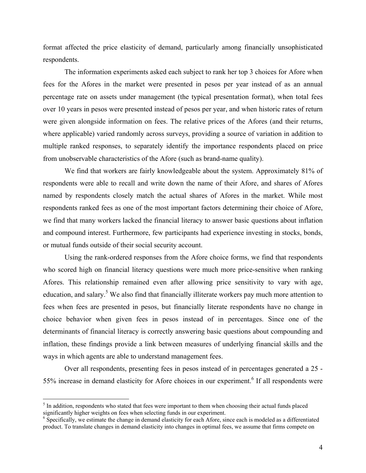format affected the price elasticity of demand, particularly among financially unsophisticated respondents.

The information experiments asked each subject to rank her top 3 choices for Afore when fees for the Afores in the market were presented in pesos per year instead of as an annual percentage rate on assets under management (the typical presentation format), when total fees over 10 years in pesos were presented instead of pesos per year, and when historic rates of return were given alongside information on fees. The relative prices of the Afores (and their returns, where applicable) varied randomly across surveys, providing a source of variation in addition to multiple ranked responses, to separately identify the importance respondents placed on price from unobservable characteristics of the Afore (such as brand-name quality).

 We find that workers are fairly knowledgeable about the system. Approximately 81% of respondents were able to recall and write down the name of their Afore, and shares of Afores named by respondents closely match the actual shares of Afores in the market. While most respondents ranked fees as one of the most important factors determining their choice of Afore, we find that many workers lacked the financial literacy to answer basic questions about inflation and compound interest. Furthermore, few participants had experience investing in stocks, bonds, or mutual funds outside of their social security account.

 Using the rank-ordered responses from the Afore choice forms, we find that respondents who scored high on financial literacy questions were much more price-sensitive when ranking Afores. This relationship remained even after allowing price sensitivity to vary with age, education, and salary.<sup>5</sup> We also find that financially illiterate workers pay much more attention to fees when fees are presented in pesos, but financially literate respondents have no change in choice behavior when given fees in pesos instead of in percentages. Since one of the determinants of financial literacy is correctly answering basic questions about compounding and inflation, these findings provide a link between measures of underlying financial skills and the ways in which agents are able to understand management fees.

Over all respondents, presenting fees in pesos instead of in percentages generated a 25 - 55% increase in demand elasticity for Afore choices in our experiment.<sup>6</sup> If all respondents were

 $\overline{a}$ 

 $<sup>5</sup>$  In addition, respondents who stated that fees were important to them when choosing their actual funds placed</sup> significantly higher weights on fees when selecting funds in our experiment.

<sup>&</sup>lt;sup>6</sup> Specifically, we estimate the change in demand elasticity for each Afore, since each is modeled as a differentiated product. To translate changes in demand elasticity into changes in optimal fees, we assume that firms compete on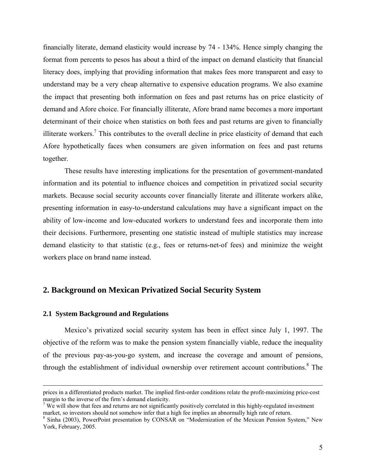financially literate, demand elasticity would increase by 74 - 134%. Hence simply changing the format from percents to pesos has about a third of the impact on demand elasticity that financial literacy does, implying that providing information that makes fees more transparent and easy to understand may be a very cheap alternative to expensive education programs. We also examine the impact that presenting both information on fees and past returns has on price elasticity of demand and Afore choice. For financially illiterate, Afore brand name becomes a more important determinant of their choice when statistics on both fees and past returns are given to financially illiterate workers.<sup>7</sup> This contributes to the overall decline in price elasticity of demand that each Afore hypothetically faces when consumers are given information on fees and past returns together.

These results have interesting implications for the presentation of government-mandated information and its potential to influence choices and competition in privatized social security markets. Because social security accounts cover financially literate and illiterate workers alike, presenting information in easy-to-understand calculations may have a significant impact on the ability of low-income and low-educated workers to understand fees and incorporate them into their decisions. Furthermore, presenting one statistic instead of multiple statistics may increase demand elasticity to that statistic (e.g., fees or returns-net-of fees) and minimize the weight workers place on brand name instead.

# **2. Background on Mexican Privatized Social Security System**

#### **2.1 System Background and Regulations**

Mexico's privatized social security system has been in effect since July 1, 1997. The objective of the reform was to make the pension system financially viable, reduce the inequality of the previous pay-as-you-go system, and increase the coverage and amount of pensions, through the establishment of individual ownership over retirement account contributions.<sup>8</sup> The

prices in a differentiated products market. The implied first-order conditions relate the profit-maximizing price-cost margin to the inverse of the firm's demand elasticity.

 $7$  We will show that fees and returns are not significantly positively correlated in this highly-regulated investment market, so investors should not somehow infer that a high fee implies an abnormally high rate of return.

<sup>&</sup>lt;sup>8</sup> Sinha (2003), PowerPoint presentation by CONSAR on "Modernization of the Mexican Pension System," New York, February, 2005.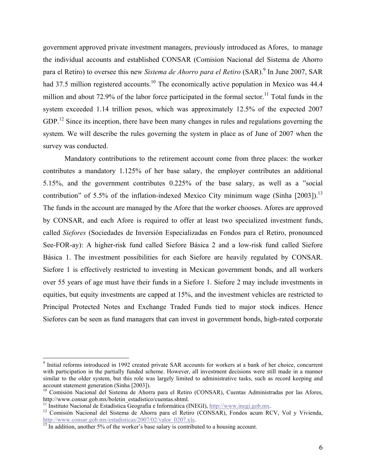government approved private investment managers, previously introduced as Afores, to manage the individual accounts and established CONSAR (Comision Nacional del Sistema de Ahorro para el Retiro) to oversee this new *Sistema de Ahorro para el Retiro* (SAR).<sup>9</sup> In June 2007, SAR had 37.5 million registered accounts.<sup>10</sup> The economically active population in Mexico was 44.4 million and about 72.9% of the labor force participated in the formal sector.<sup>11</sup> Total funds in the system exceeded 1.14 trillion pesos, which was approximately 12.5% of the expected 2007 GDP.<sup>12</sup> Since its inception, there have been many changes in rules and regulations governing the system. We will describe the rules governing the system in place as of June of 2007 when the survey was conducted.

Mandatory contributions to the retirement account come from three places: the worker contributes a mandatory 1.125% of her base salary, the employer contributes an additional 5.15%, and the government contributes 0.225% of the base salary, as well as a "social contribution" of 5.5% of the inflation-indexed Mexico City minimum wage (Sinha [2003]).<sup>13</sup> The funds in the account are managed by the Afore that the worker chooses. Afores are approved by CONSAR, and each Afore is required to offer at least two specialized investment funds, called *Siefores* (Sociedades de Inversión Especializadas en Fondos para el Retiro, pronounced See-FOR-ay): A higher-risk fund called Siefore Básica 2 and a low-risk fund called Siefore Básica 1. The investment possibilities for each Siefore are heavily regulated by CONSAR. Siefore 1 is effectively restricted to investing in Mexican government bonds, and all workers over 55 years of age must have their funds in a Siefore 1. Siefore 2 may include investments in equities, but equity investments are capped at 15%, and the investment vehicles are restricted to Principal Protected Notes and Exchange Traded Funds tied to major stock indices. Hence Siefores can be seen as fund managers that can invest in government bonds, high-rated corporate

1

<sup>&</sup>lt;sup>9</sup> Initial reforms introduced in 1992 created private SAR accounts for workers at a bank of her choice, concurrent with participation in the partially funded scheme. However, all investment decisions were still made in a manner similar to the older system, but this role was largely limited to administrative tasks, such as record keeping and account statement generation (Sinha [2003]).

 $10$  Comisión Nacional del Sistema de Ahorra para el Retiro (CONSAR), Cuentas Administradas por las Afores, http://www.consar.gob.mx/boletin\_estadistico/cuentas.shtml.<br><sup>11</sup> Instituto Nacional de Estadística Geografía e Informática (INEGI), http://www.inegi.gob.mx.<br><sup>12</sup> Comisión Nacional del Sistema de Ahorra para el Retiro (CONS

http://www.consar.gob.mx/estadisticas/2007/02/valor\_0207.xls.  $\frac{13}{13}$  In addition, another 5% of the worker's base salary is contributed to a housing account.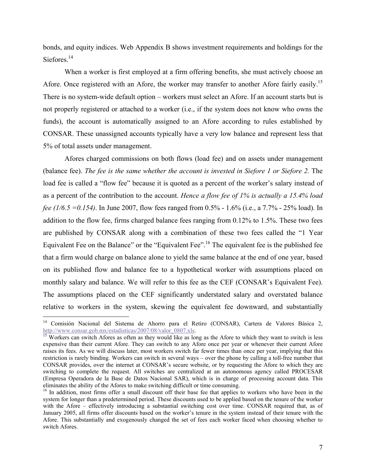bonds, and equity indices. Web Appendix B shows investment requirements and holdings for the Siefores.<sup>14</sup>

 When a worker is first employed at a firm offering benefits, she must actively choose an Afore. Once registered with an Afore, the worker may transfer to another Afore fairly easily.<sup>15</sup> There is no system-wide default option – workers must select an Afore. If an account starts but is not properly registered or attached to a worker (i.e., if the system does not know who owns the funds), the account is automatically assigned to an Afore according to rules established by CONSAR. These unassigned accounts typically have a very low balance and represent less that 5% of total assets under management.

 Afores charged commissions on both flows (load fee) and on assets under management (balance fee). *The fee is the same whether the account is invested in Siefore 1 or Siefore 2.* The load fee is called a "flow fee" because it is quoted as a percent of the worker's salary instead of as a percent of the contribution to the account. *Hence a flow fee of 1% is actually a 15.4% load fee (1/6.5 =0.154)*. In June 2007, flow fees ranged from 0.5% - 1.6% (i.e., a 7.7% - 25% load). In addition to the flow fee, firms charged balance fees ranging from 0.12% to 1.5%. These two fees are published by CONSAR along with a combination of these two fees called the "1 Year Equivalent Fee on the Balance" or the "Equivalent Fee".<sup>16</sup> The equivalent fee is the published fee that a firm would charge on balance alone to yield the same balance at the end of one year, based on its published flow and balance fee to a hypothetical worker with assumptions placed on monthly salary and balance. We will refer to this fee as the CEF (CONSAR's Equivalent Fee). The assumptions placed on the CEF significantly understated salary and overstated balance relative to workers in the system, skewing the equivalent fee downward, and substantially

 $\overline{a}$ 

<sup>&</sup>lt;sup>14</sup> Comisión Nacional del Sistema de Ahorro para el Retiro (CONSAR), Cartera de Valores Básica 2, http://www.consar.gob.mx/estadisticas/2007/08/valor\_0807.xls.<br><sup>15</sup> Workers can switch Afores as often as they would like as long as the Afore to which they want to switch is less

expensive than their current Afore. They can switch to any Afore once per year or whenever their current Afore raises its fees. As we will discuss later, most workers switch far fewer times than once per year, implying that this restriction is rarely binding. Workers can switch in several ways – over the phone by calling a toll-free number that CONSAR provides, over the internet at CONSAR's secure website, or by requesting the Afore to which they are switching to complete the request. All switches are centralized at an autonomous agency called PROCESAR (Empresa Operadora de la Base de Datos Nacional SAR), which is in charge of processing account data. This eliminates the ability of the Afores to make switching difficult or time consuming.<br><sup>16</sup> In addition, most firms offer a small discount off their base fee that applies to workers who have been in the

system for longer than a predetermined period. These discounts used to be applied based on the tenure of the worker with the Afore – effectively introducing a substantial switching cost over time. CONSAR required that, as of January 2005, all firms offer discounts based on the worker's tenure in the system instead of their tenure with the Afore. This substantially and exogenously changed the set of fees each worker faced when choosing whether to switch Afores.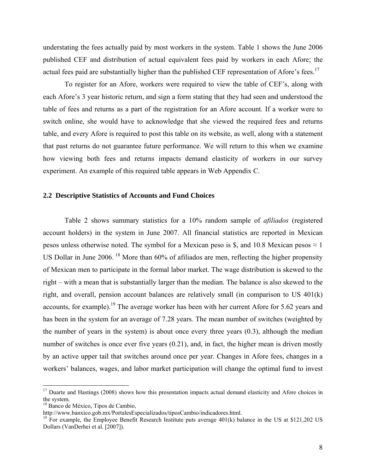understating the fees actually paid by most workers in the system. Table 1 shows the June 2006 published CEF and distribution of actual equivalent fees paid by workers in each Afore; the actual fees paid are substantially higher than the published CEF representation of Afore's fees.<sup>17</sup>

 To register for an Afore, workers were required to view the table of CEF's, along with each Afore's 3 year historic return, and sign a form stating that they had seen and understood the table of fees and returns as a part of the registration for an Afore account. If a worker were to switch online, she would have to acknowledge that she viewed the required fees and returns table, and every Afore is required to post this table on its website, as well, along with a statement that past returns do not guarantee future performance. We will return to this when we examine how viewing both fees and returns impacts demand elasticity of workers in our survey experiment. An example of this required table appears in Web Appendix C.

#### **2.2 Descriptive Statistics of Accounts and Fund Choices**

Table 2 shows summary statistics for a 10% random sample of *afiliados* (registered account holders) in the system in June 2007. All financial statistics are reported in Mexican pesos unless otherwise noted. The symbol for a Mexican peso is \$, and 10.8 Mexican pesos  $\approx 1$ US Dollar in June 2006. <sup>18</sup> More than 60% of afiliados are men, reflecting the higher propensity of Mexican men to participate in the formal labor market. The wage distribution is skewed to the right – with a mean that is substantially larger than the median. The balance is also skewed to the right, and overall, pension account balances are relatively small (in comparison to US 401(k) accounts, for example).<sup>19</sup> The average worker has been with her current Afore for 5.62 years and has been in the system for an average of 7.28 years. The mean number of switches (weighted by the number of years in the system) is about once every three years (0.3), although the median number of switches is once ever five years  $(0.21)$ , and, in fact, the higher mean is driven mostly by an active upper tail that switches around once per year. Changes in Afore fees, changes in a workers' balances, wages, and labor market participation will change the optimal fund to invest

1

<sup>&</sup>lt;sup>17</sup> Duarte and Hastings (2008) shows how this presentation impacts actual demand elasticity and Afore choices in the system.

 $^{18}$  Banco de México, Tipos de Cambio,<br>http://www.banxico.gob.mx/PortalesEspecializados/tiposCambio/indicadores.html.

<sup>&</sup>lt;sup>19</sup> For example, the Employee Benefit Research Institute puts average  $401(k)$  balance in the US at \$121,202 US Dollars (VanDerhei et al. [2007]).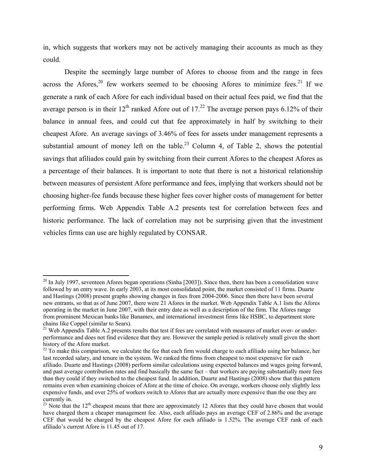in, which suggests that workers may not be actively managing their accounts as much as they could.

 Despite the seemingly large number of Afores to choose from and the range in fees across the Afores,<sup>20</sup> few workers seemed to be choosing Afores to minimize fees.<sup>21</sup> If we generate a rank of each Afore for each individual based on their actual fees paid, we find that the average person is in their  $12^{th}$  ranked Afore out of  $17<sup>22</sup>$  The average person pays 6.12% of their balance in annual fees, and could cut that fee approximately in half by switching to their cheapest Afore. An average savings of 3.46% of fees for assets under management represents a substantial amount of money left on the table.<sup>23</sup> Column 4, of Table 2, shows the potential savings that afiliados could gain by switching from their current Afores to the cheapest Afores as a percentage of their balances. It is important to note that there is not a historical relationship between measures of persistent Afore performance and fees, implying that workers should not be choosing higher-fee funds because these higher fees cover higher costs of management for better performing firms. Web Appendix Table A.2 presents test for correlation between fees and historic performance. The lack of correlation may not be surprising given that the investment vehicles firms can use are highly regulated by CONSAR.

 $\overline{a}$ 

 $20$  In July 1997, seventeen Afores began operations (Sinha [2003]). Since then, there has been a consolidation wave followed by an entry wave. In early 2003, at its most consolidated point, the market consisted of 11 firms. Duarte and Hastings (2008) present graphs showing changes in fees from 2004-2006. Since then there have been several new entrants, so that as of June 2007, there were 21 Afores in the market. Web Appendix Table A.1 lists the Afores operating in the market in June 2007, with their entry date as well as a description of the firm. The Afores range from prominent Mexican banks like Banamex, and international investment firms like HSBC, to department store chains like Coppel (similar to Sears).

<sup>&</sup>lt;sup>21</sup> Web Appendix Table A.2 presents results that test if fees are correlated with measures of market over- or underperformance and does not find evidence that they are. However the sample period is relatively small given the short history of the Afore market.

<sup>&</sup>lt;sup>22</sup> To make this comparison, we calculate the fee that each firm would charge to each afiliado using her balance, her last recorded salary, and tenure in the system. We ranked the firms from cheapest to most expensive for each afiliado. Duarte and Hastings (2008) perform similar calculations using expected balances and wages going forward, and past average contribution rates and find basically the same fact – that workers are paying substantially more fees than they could if they switched to the cheapest fund. In addition, Duarte and Hastings (2008) show that this pattern remains even when examining choices of Afore at the time of choice. On average, workers choose only slightly less expensive funds, and over 25% of workers switch to Afores that are actually more expensive than the one they are currently in.

<sup>&</sup>lt;sup>23</sup> Note that the 12<sup>th</sup> cheapest means that there are approximately 12 Afores that they could have chosen that would have charged them a cheaper management fee. Also, each afiliado pays an average CEF of 2.86% and the average CEF that would be charged by the cheapest Afore for each afiliado is 1.52%. The average CEF rank of each afiliado's current Afore is 11.45 out of 17.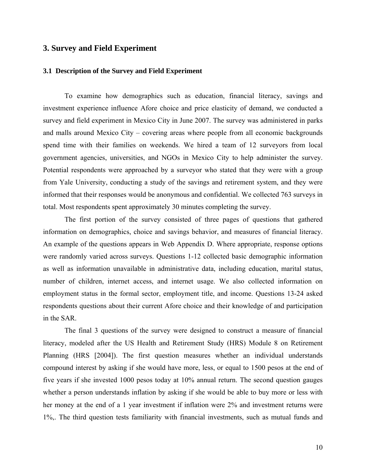# **3. Survey and Field Experiment**

#### **3.1 Description of the Survey and Field Experiment**

To examine how demographics such as education, financial literacy, savings and investment experience influence Afore choice and price elasticity of demand, we conducted a survey and field experiment in Mexico City in June 2007. The survey was administered in parks and malls around Mexico City – covering areas where people from all economic backgrounds spend time with their families on weekends. We hired a team of 12 surveyors from local government agencies, universities, and NGOs in Mexico City to help administer the survey. Potential respondents were approached by a surveyor who stated that they were with a group from Yale University, conducting a study of the savings and retirement system, and they were informed that their responses would be anonymous and confidential. We collected 763 surveys in total. Most respondents spent approximately 30 minutes completing the survey.

The first portion of the survey consisted of three pages of questions that gathered information on demographics, choice and savings behavior, and measures of financial literacy. An example of the questions appears in Web Appendix D. Where appropriate, response options were randomly varied across surveys. Questions 1-12 collected basic demographic information as well as information unavailable in administrative data, including education, marital status, number of children, internet access, and internet usage. We also collected information on employment status in the formal sector, employment title, and income. Questions 13-24 asked respondents questions about their current Afore choice and their knowledge of and participation in the SAR.

The final 3 questions of the survey were designed to construct a measure of financial literacy, modeled after the US Health and Retirement Study (HRS) Module 8 on Retirement Planning (HRS [2004]). The first question measures whether an individual understands compound interest by asking if she would have more, less, or equal to 1500 pesos at the end of five years if she invested 1000 pesos today at 10% annual return. The second question gauges whether a person understands inflation by asking if she would be able to buy more or less with her money at the end of a 1 year investment if inflation were 2% and investment returns were 1%,. The third question tests familiarity with financial investments, such as mutual funds and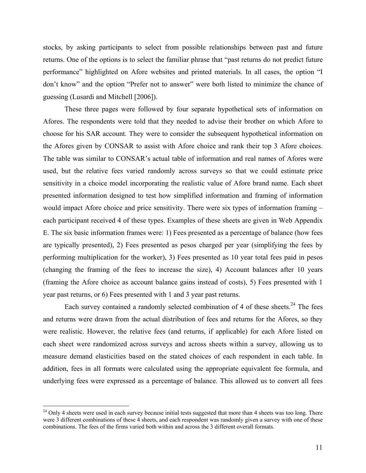stocks, by asking participants to select from possible relationships between past and future returns. One of the options is to select the familiar phrase that "past returns do not predict future performance" highlighted on Afore websites and printed materials. In all cases, the option "I don't know" and the option "Prefer not to answer" were both listed to minimize the chance of guessing (Lusardi and Mitchell [2006]).

 These three pages were followed by four separate hypothetical sets of information on Afores. The respondents were told that they needed to advise their brother on which Afore to choose for his SAR account. They were to consider the subsequent hypothetical information on the Afores given by CONSAR to assist with Afore choice and rank their top 3 Afore choices. The table was similar to CONSAR's actual table of information and real names of Afores were used, but the relative fees varied randomly across surveys so that we could estimate price sensitivity in a choice model incorporating the realistic value of Afore brand name. Each sheet presented information designed to test how simplified information and framing of information would impact Afore choice and price sensitivity. There were six types of information framing – each participant received 4 of these types. Examples of these sheets are given in Web Appendix E. The six basic information frames were: 1) Fees presented as a percentage of balance (how fees are typically presented), 2) Fees presented as pesos charged per year (simplifying the fees by performing multiplication for the worker), 3) Fees presented as 10 year total fees paid in pesos (changing the framing of the fees to increase the size), 4) Account balances after 10 years (framing the Afore choice as account balance gains instead of costs), 5) Fees presented with 1 year past returns, or 6) Fees presented with 1 and 3 year past returns.

Each survey contained a randomly selected combination of 4 of these sheets.<sup>24</sup> The fees and returns were drawn from the actual distribution of fees and returns for the Afores, so they were realistic. However, the relative fees (and returns, if applicable) for each Afore listed on each sheet were randomized across surveys and across sheets within a survey, allowing us to measure demand elasticities based on the stated choices of each respondent in each table. In addition, fees in all formats were calculated using the appropriate equivalent fee formula, and underlying fees were expressed as a percentage of balance. This allowed us to convert all fees

 $\overline{a}$ 

 $^{24}$  Only 4 sheets were used in each survey because initial tests suggested that more than 4 sheets was too long. There were 3 different combinations of these 4 sheets, and each respondent was randomly given a survey with one of these combinations. The fees of the firms varied both within and across the 3 different overall formats.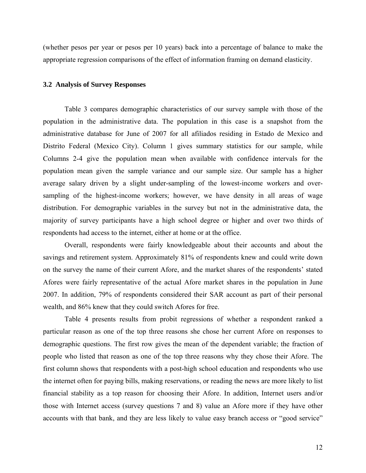(whether pesos per year or pesos per 10 years) back into a percentage of balance to make the appropriate regression comparisons of the effect of information framing on demand elasticity.

#### **3.2 Analysis of Survey Responses**

Table 3 compares demographic characteristics of our survey sample with those of the population in the administrative data. The population in this case is a snapshot from the administrative database for June of 2007 for all afiliados residing in Estado de Mexico and Distrito Federal (Mexico City). Column 1 gives summary statistics for our sample, while Columns 2-4 give the population mean when available with confidence intervals for the population mean given the sample variance and our sample size. Our sample has a higher average salary driven by a slight under-sampling of the lowest-income workers and oversampling of the highest-income workers; however, we have density in all areas of wage distribution. For demographic variables in the survey but not in the administrative data, the majority of survey participants have a high school degree or higher and over two thirds of respondents had access to the internet, either at home or at the office.

 Overall, respondents were fairly knowledgeable about their accounts and about the savings and retirement system. Approximately 81% of respondents knew and could write down on the survey the name of their current Afore, and the market shares of the respondents' stated Afores were fairly representative of the actual Afore market shares in the population in June 2007. In addition, 79% of respondents considered their SAR account as part of their personal wealth, and 86% knew that they could switch Afores for free.

 Table 4 presents results from probit regressions of whether a respondent ranked a particular reason as one of the top three reasons she chose her current Afore on responses to demographic questions. The first row gives the mean of the dependent variable; the fraction of people who listed that reason as one of the top three reasons why they chose their Afore. The first column shows that respondents with a post-high school education and respondents who use the internet often for paying bills, making reservations, or reading the news are more likely to list financial stability as a top reason for choosing their Afore. In addition, Internet users and/or those with Internet access (survey questions 7 and 8) value an Afore more if they have other accounts with that bank, and they are less likely to value easy branch access or "good service"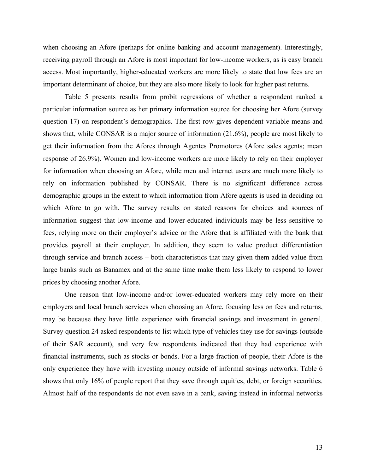when choosing an Afore (perhaps for online banking and account management). Interestingly, receiving payroll through an Afore is most important for low-income workers, as is easy branch access. Most importantly, higher-educated workers are more likely to state that low fees are an important determinant of choice, but they are also more likely to look for higher past returns.

 Table 5 presents results from probit regressions of whether a respondent ranked a particular information source as her primary information source for choosing her Afore (survey question 17) on respondent's demographics. The first row gives dependent variable means and shows that, while CONSAR is a major source of information (21.6%), people are most likely to get their information from the Afores through Agentes Promotores (Afore sales agents; mean response of 26.9%). Women and low-income workers are more likely to rely on their employer for information when choosing an Afore, while men and internet users are much more likely to rely on information published by CONSAR. There is no significant difference across demographic groups in the extent to which information from Afore agents is used in deciding on which Afore to go with. The survey results on stated reasons for choices and sources of information suggest that low-income and lower-educated individuals may be less sensitive to fees, relying more on their employer's advice or the Afore that is affiliated with the bank that provides payroll at their employer. In addition, they seem to value product differentiation through service and branch access – both characteristics that may given them added value from large banks such as Banamex and at the same time make them less likely to respond to lower prices by choosing another Afore.

 One reason that low-income and/or lower-educated workers may rely more on their employers and local branch services when choosing an Afore, focusing less on fees and returns, may be because they have little experience with financial savings and investment in general. Survey question 24 asked respondents to list which type of vehicles they use for savings (outside of their SAR account), and very few respondents indicated that they had experience with financial instruments, such as stocks or bonds. For a large fraction of people, their Afore is the only experience they have with investing money outside of informal savings networks. Table 6 shows that only 16% of people report that they save through equities, debt, or foreign securities. Almost half of the respondents do not even save in a bank, saving instead in informal networks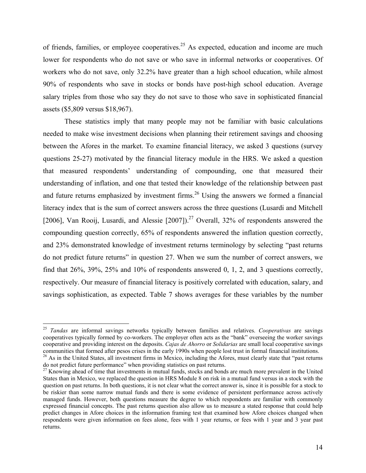of friends, families, or employee cooperatives.<sup>25</sup> As expected, education and income are much lower for respondents who do not save or who save in informal networks or cooperatives. Of workers who do not save, only 32.2% have greater than a high school education, while almost 90% of respondents who save in stocks or bonds have post-high school education. Average salary triples from those who say they do not save to those who save in sophisticated financial assets (\$5,809 versus \$18,967).

 These statistics imply that many people may not be familiar with basic calculations needed to make wise investment decisions when planning their retirement savings and choosing between the Afores in the market. To examine financial literacy, we asked 3 questions (survey questions 25-27) motivated by the financial literacy module in the HRS. We asked a question that measured respondents' understanding of compounding, one that measured their understanding of inflation, and one that tested their knowledge of the relationship between past and future returns emphasized by investment firms.<sup>26</sup> Using the answers we formed a financial literacy index that is the sum of correct answers across the three questions (Lusardi and Mitchell [2006], Van Rooij, Lusardi, and Alessie [2007]).<sup>27</sup> Overall, 32% of respondents answered the compounding question correctly, 65% of respondents answered the inflation question correctly, and 23% demonstrated knowledge of investment returns terminology by selecting "past returns do not predict future returns" in question 27. When we sum the number of correct answers, we find that 26%, 39%, 25% and 10% of respondents answered 0, 1, 2, and 3 questions correctly, respectively. Our measure of financial literacy is positively correlated with education, salary, and savings sophistication, as expected. Table 7 shows averages for these variables by the number

 $\overline{a}$ 

<sup>25</sup> *Tandas* are informal savings networks typically between families and relatives. *Cooperativas* are savings cooperatives typically formed by co-workers. The employer often acts as the "bank" overseeing the worker savings cooperative and providing interest on the deposits. *Cajas de Ahorro* or *Solidarias* are small local cooperative savings communities that formed after pesos crises in the early 1990s when people lost trust in formal financial institutions.

 $^{26}$  As in the United States, all investment firms in Mexico, including the Afores, must clearly state that "past returns do not predict future performance" when providing statistics on past returns.

 $^{27}$  Knowing ahead of time that investments in mutual funds, stocks and bonds are much more prevalent in the United States than in Mexico, we replaced the question in HRS Module 8 on risk in a mutual fund versus in a stock with the question on past returns. In both questions, it is not clear what the correct answer is, since it is possible for a stock to be riskier than some narrow mutual funds and there is some evidence of persistent performance across actively managed funds. However, both questions measure the degree to which respondents are familiar with commonly expressed financial concepts. The past returns question also allow us to measure a stated response that could help predict changes in Afore choices in the information framing test that examined how Afore choices changed when respondents were given information on fees alone, fees with 1 year returns, or fees with 1 year and 3 year past returns.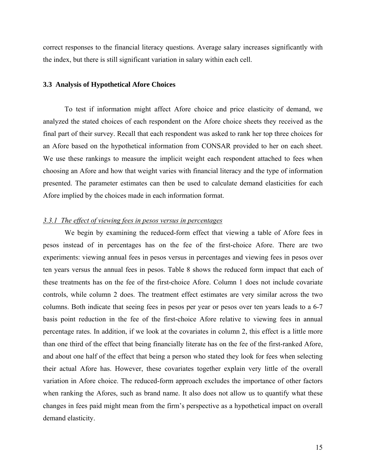correct responses to the financial literacy questions. Average salary increases significantly with the index, but there is still significant variation in salary within each cell.

#### **3.3 Analysis of Hypothetical Afore Choices**

To test if information might affect Afore choice and price elasticity of demand, we analyzed the stated choices of each respondent on the Afore choice sheets they received as the final part of their survey. Recall that each respondent was asked to rank her top three choices for an Afore based on the hypothetical information from CONSAR provided to her on each sheet. We use these rankings to measure the implicit weight each respondent attached to fees when choosing an Afore and how that weight varies with financial literacy and the type of information presented. The parameter estimates can then be used to calculate demand elasticities for each Afore implied by the choices made in each information format.

#### *3.3.1 The effect of viewing fees in pesos versus in percentages*

We begin by examining the reduced-form effect that viewing a table of Afore fees in pesos instead of in percentages has on the fee of the first-choice Afore. There are two experiments: viewing annual fees in pesos versus in percentages and viewing fees in pesos over ten years versus the annual fees in pesos. Table 8 shows the reduced form impact that each of these treatments has on the fee of the first-choice Afore. Column 1 does not include covariate controls, while column 2 does. The treatment effect estimates are very similar across the two columns. Both indicate that seeing fees in pesos per year or pesos over ten years leads to a 6-7 basis point reduction in the fee of the first-choice Afore relative to viewing fees in annual percentage rates. In addition, if we look at the covariates in column 2, this effect is a little more than one third of the effect that being financially literate has on the fee of the first-ranked Afore, and about one half of the effect that being a person who stated they look for fees when selecting their actual Afore has. However, these covariates together explain very little of the overall variation in Afore choice. The reduced-form approach excludes the importance of other factors when ranking the Afores, such as brand name. It also does not allow us to quantify what these changes in fees paid might mean from the firm's perspective as a hypothetical impact on overall demand elasticity.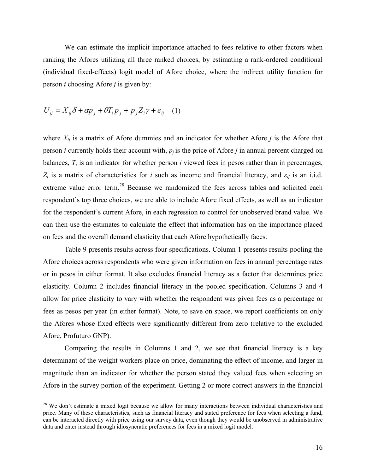We can estimate the implicit importance attached to fees relative to other factors when ranking the Afores utilizing all three ranked choices, by estimating a rank-ordered conditional (individual fixed-effects) logit model of Afore choice, where the indirect utility function for person *i* choosing Afore *j* is given by:

$$
U_{ij} = X_{ij}\delta + \alpha p_j + \theta T_i p_j + p_j Z_i \gamma + \varepsilon_{ij} \quad (1)
$$

 $\overline{a}$ 

where  $X_{ii}$  is a matrix of Afore dummies and an indicator for whether Afore *j* is the Afore that person *i* currently holds their account with,  $p_j$  is the price of Afore *j* in annual percent charged on balances,  $T_i$  is an indicator for whether person  $i$  viewed fees in pesos rather than in percentages,  $Z_i$  is a matrix of characteristics for *i* such as income and financial literacy, and  $\varepsilon_{ij}$  is an i.i.d. extreme value error term.<sup>28</sup> Because we randomized the fees across tables and solicited each respondent's top three choices, we are able to include Afore fixed effects, as well as an indicator for the respondent's current Afore, in each regression to control for unobserved brand value. We can then use the estimates to calculate the effect that information has on the importance placed on fees and the overall demand elasticity that each Afore hypothetically faces.

 Table 9 presents results across four specifications. Column 1 presents results pooling the Afore choices across respondents who were given information on fees in annual percentage rates or in pesos in either format. It also excludes financial literacy as a factor that determines price elasticity. Column 2 includes financial literacy in the pooled specification. Columns 3 and 4 allow for price elasticity to vary with whether the respondent was given fees as a percentage or fees as pesos per year (in either format). Note, to save on space, we report coefficients on only the Afores whose fixed effects were significantly different from zero (relative to the excluded Afore, Profuturo GNP).

 Comparing the results in Columns 1 and 2, we see that financial literacy is a key determinant of the weight workers place on price, dominating the effect of income, and larger in magnitude than an indicator for whether the person stated they valued fees when selecting an Afore in the survey portion of the experiment. Getting 2 or more correct answers in the financial

<sup>&</sup>lt;sup>28</sup> We don't estimate a mixed logit because we allow for many interactions between individual characteristics and price. Many of these characteristics, such as financial literacy and stated preference for fees when selecting a fund, can be interacted directly with price using our survey data, even though they would be unobserved in administrative data and enter instead through idiosyncratic preferences for fees in a mixed logit model.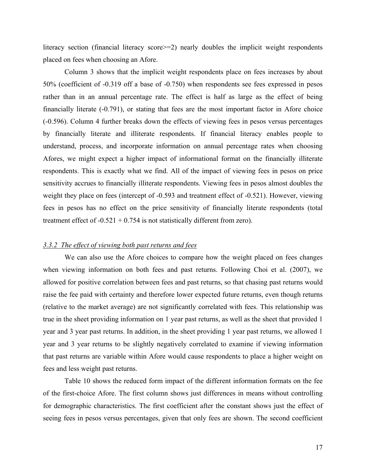literacy section (financial literacy score>=2) nearly doubles the implicit weight respondents placed on fees when choosing an Afore.

 Column 3 shows that the implicit weight respondents place on fees increases by about 50% (coefficient of -0.319 off a base of -0.750) when respondents see fees expressed in pesos rather than in an annual percentage rate. The effect is half as large as the effect of being financially literate (-0.791), or stating that fees are the most important factor in Afore choice (-0.596). Column 4 further breaks down the effects of viewing fees in pesos versus percentages by financially literate and illiterate respondents. If financial literacy enables people to understand, process, and incorporate information on annual percentage rates when choosing Afores, we might expect a higher impact of informational format on the financially illiterate respondents. This is exactly what we find. All of the impact of viewing fees in pesos on price sensitivity accrues to financially illiterate respondents. Viewing fees in pesos almost doubles the weight they place on fees (intercept of -0.593 and treatment effect of -0.521). However, viewing fees in pesos has no effect on the price sensitivity of financially literate respondents (total treatment effect of  $-0.521 + 0.754$  is not statistically different from zero).

#### *3.3.2 The effect of viewing both past returns and fees*

We can also use the Afore choices to compare how the weight placed on fees changes when viewing information on both fees and past returns. Following Choi et al. (2007), we allowed for positive correlation between fees and past returns, so that chasing past returns would raise the fee paid with certainty and therefore lower expected future returns, even though returns (relative to the market average) are not significantly correlated with fees. This relationship was true in the sheet providing information on 1 year past returns, as well as the sheet that provided 1 year and 3 year past returns. In addition, in the sheet providing 1 year past returns, we allowed 1 year and 3 year returns to be slightly negatively correlated to examine if viewing information that past returns are variable within Afore would cause respondents to place a higher weight on fees and less weight past returns.

 Table 10 shows the reduced form impact of the different information formats on the fee of the first-choice Afore. The first column shows just differences in means without controlling for demographic characteristics. The first coefficient after the constant shows just the effect of seeing fees in pesos versus percentages, given that only fees are shown. The second coefficient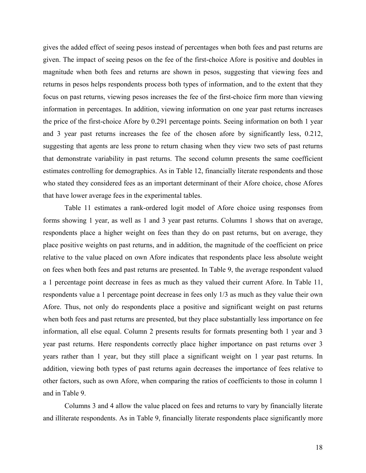gives the added effect of seeing pesos instead of percentages when both fees and past returns are given. The impact of seeing pesos on the fee of the first-choice Afore is positive and doubles in magnitude when both fees and returns are shown in pesos, suggesting that viewing fees and returns in pesos helps respondents process both types of information, and to the extent that they focus on past returns, viewing pesos increases the fee of the first-choice firm more than viewing information in percentages. In addition, viewing information on one year past returns increases the price of the first-choice Afore by 0.291 percentage points. Seeing information on both 1 year and 3 year past returns increases the fee of the chosen afore by significantly less, 0.212, suggesting that agents are less prone to return chasing when they view two sets of past returns that demonstrate variability in past returns. The second column presents the same coefficient estimates controlling for demographics. As in Table 12, financially literate respondents and those who stated they considered fees as an important determinant of their Afore choice, chose Afores that have lower average fees in the experimental tables.

Table 11 estimates a rank-ordered logit model of Afore choice using responses from forms showing 1 year, as well as 1 and 3 year past returns. Columns 1 shows that on average, respondents place a higher weight on fees than they do on past returns, but on average, they place positive weights on past returns, and in addition, the magnitude of the coefficient on price relative to the value placed on own Afore indicates that respondents place less absolute weight on fees when both fees and past returns are presented. In Table 9, the average respondent valued a 1 percentage point decrease in fees as much as they valued their current Afore. In Table 11, respondents value a 1 percentage point decrease in fees only 1/3 as much as they value their own Afore. Thus, not only do respondents place a positive and significant weight on past returns when both fees and past returns are presented, but they place substantially less importance on fee information, all else equal. Column 2 presents results for formats presenting both 1 year and 3 year past returns. Here respondents correctly place higher importance on past returns over 3 years rather than 1 year, but they still place a significant weight on 1 year past returns. In addition, viewing both types of past returns again decreases the importance of fees relative to other factors, such as own Afore, when comparing the ratios of coefficients to those in column 1 and in Table 9.

 Columns 3 and 4 allow the value placed on fees and returns to vary by financially literate and illiterate respondents. As in Table 9, financially literate respondents place significantly more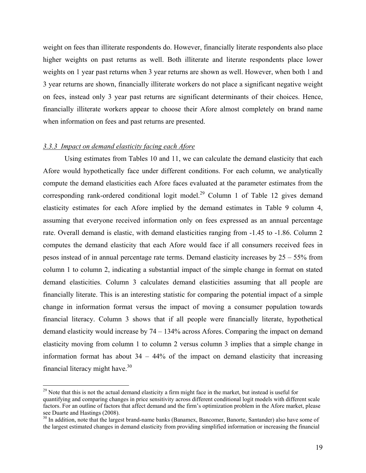weight on fees than illiterate respondents do. However, financially literate respondents also place higher weights on past returns as well. Both illiterate and literate respondents place lower weights on 1 year past returns when 3 year returns are shown as well. However, when both 1 and 3 year returns are shown, financially illiterate workers do not place a significant negative weight on fees, instead only 3 year past returns are significant determinants of their choices. Hence, financially illiterate workers appear to choose their Afore almost completely on brand name when information on fees and past returns are presented.

#### *3.3.3 Impact on demand elasticity facing each Afore*

 $\overline{a}$ 

 Using estimates from Tables 10 and 11, we can calculate the demand elasticity that each Afore would hypothetically face under different conditions. For each column, we analytically compute the demand elasticities each Afore faces evaluated at the parameter estimates from the corresponding rank-ordered conditional logit model.<sup>29</sup> Column 1 of Table 12 gives demand elasticity estimates for each Afore implied by the demand estimates in Table 9 column 4, assuming that everyone received information only on fees expressed as an annual percentage rate. Overall demand is elastic, with demand elasticities ranging from -1.45 to -1.86. Column 2 computes the demand elasticity that each Afore would face if all consumers received fees in pesos instead of in annual percentage rate terms. Demand elasticity increases by 25 – 55% from column 1 to column 2, indicating a substantial impact of the simple change in format on stated demand elasticities. Column 3 calculates demand elasticities assuming that all people are financially literate. This is an interesting statistic for comparing the potential impact of a simple change in information format versus the impact of moving a consumer population towards financial literacy. Column 3 shows that if all people were financially literate, hypothetical demand elasticity would increase by 74 – 134% across Afores. Comparing the impact on demand elasticity moving from column 1 to column 2 versus column 3 implies that a simple change in information format has about  $34 - 44\%$  of the impact on demand elasticity that increasing financial literacy might have.30

<sup>&</sup>lt;sup>29</sup> Note that this is not the actual demand elasticity a firm might face in the market, but instead is useful for quantifying and comparing changes in price sensitivity across different conditional logit models with different scale factors. For an outline of factors that affect demand and the firm's optimization problem in the Afore market, please see Duarte and Hastings (2008).

<sup>&</sup>lt;sup>30</sup> In addition, note that the largest brand-name banks (Banamex, Bancomer, Banorte, Santander) also have some of the largest estimated changes in demand elasticity from providing simplified information or increasing the financial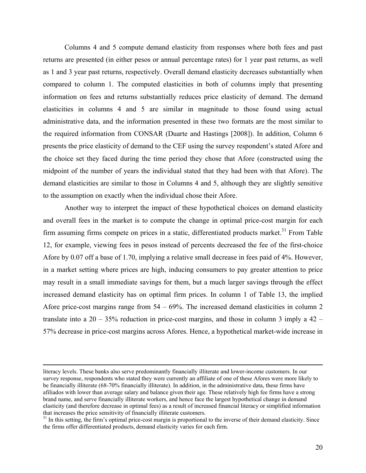Columns 4 and 5 compute demand elasticity from responses where both fees and past returns are presented (in either pesos or annual percentage rates) for 1 year past returns, as well as 1 and 3 year past returns, respectively. Overall demand elasticity decreases substantially when compared to column 1. The computed elasticities in both of columns imply that presenting information on fees and returns substantially reduces price elasticity of demand. The demand elasticities in columns 4 and 5 are similar in magnitude to those found using actual administrative data, and the information presented in these two formats are the most similar to the required information from CONSAR (Duarte and Hastings [2008]). In addition, Column 6 presents the price elasticity of demand to the CEF using the survey respondent's stated Afore and the choice set they faced during the time period they chose that Afore (constructed using the midpoint of the number of years the individual stated that they had been with that Afore). The demand elasticities are similar to those in Columns 4 and 5, although they are slightly sensitive to the assumption on exactly when the individual chose their Afore.

 Another way to interpret the impact of these hypothetical choices on demand elasticity and overall fees in the market is to compute the change in optimal price-cost margin for each firm assuming firms compete on prices in a static, differentiated products market.<sup>31</sup> From Table 12, for example, viewing fees in pesos instead of percents decreased the fee of the first-choice Afore by 0.07 off a base of 1.70, implying a relative small decrease in fees paid of 4%. However, in a market setting where prices are high, inducing consumers to pay greater attention to price may result in a small immediate savings for them, but a much larger savings through the effect increased demand elasticity has on optimal firm prices. In column 1 of Table 13, the implied Afore price-cost margins range from 54 – 69%. The increased demand elasticities in column 2 translate into a  $20 - 35\%$  reduction in price-cost margins, and those in column 3 imply a  $42 -$ 57% decrease in price-cost margins across Afores. Hence, a hypothetical market-wide increase in

literacy levels. These banks also serve predominantly financially illiterate and lower-income customers. In our survey response, respondents who stated they were currently an affiliate of one of these Afores were more likely to be financially illiterate (68-70% financially illiterate). In addition, in the administrative data, these firms have afiliados with lower than average salary and balance given their age. These relatively high fee firms have a strong brand name, and serve financially illiterate workers, and hence face the largest hypothetical change in demand elasticity (and therefore decrease in optimal fees) as a result of increased financial literacy or simplified information

<sup>&</sup>lt;sup>31</sup> In this setting, the firm's optimal price-cost margin is proportional to the inverse of their demand elasticity. Since the firms offer differentiated products, demand elasticity varies for each firm.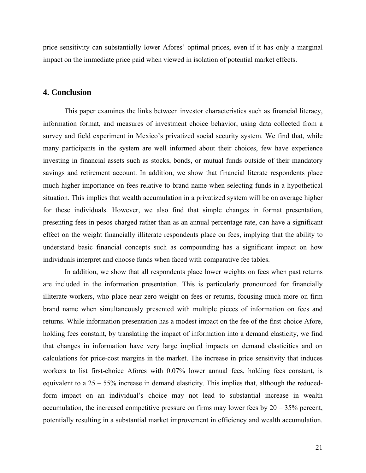price sensitivity can substantially lower Afores' optimal prices, even if it has only a marginal impact on the immediate price paid when viewed in isolation of potential market effects.

# **4. Conclusion**

This paper examines the links between investor characteristics such as financial literacy, information format, and measures of investment choice behavior, using data collected from a survey and field experiment in Mexico's privatized social security system. We find that, while many participants in the system are well informed about their choices, few have experience investing in financial assets such as stocks, bonds, or mutual funds outside of their mandatory savings and retirement account. In addition, we show that financial literate respondents place much higher importance on fees relative to brand name when selecting funds in a hypothetical situation. This implies that wealth accumulation in a privatized system will be on average higher for these individuals. However, we also find that simple changes in format presentation, presenting fees in pesos charged rather than as an annual percentage rate, can have a significant effect on the weight financially illiterate respondents place on fees, implying that the ability to understand basic financial concepts such as compounding has a significant impact on how individuals interpret and choose funds when faced with comparative fee tables.

 In addition, we show that all respondents place lower weights on fees when past returns are included in the information presentation. This is particularly pronounced for financially illiterate workers, who place near zero weight on fees or returns, focusing much more on firm brand name when simultaneously presented with multiple pieces of information on fees and returns. While information presentation has a modest impact on the fee of the first-choice Afore, holding fees constant, by translating the impact of information into a demand elasticity, we find that changes in information have very large implied impacts on demand elasticities and on calculations for price-cost margins in the market. The increase in price sensitivity that induces workers to list first-choice Afores with 0.07% lower annual fees, holding fees constant, is equivalent to a 25 – 55% increase in demand elasticity. This implies that, although the reducedform impact on an individual's choice may not lead to substantial increase in wealth accumulation, the increased competitive pressure on firms may lower fees by  $20 - 35%$  percent, potentially resulting in a substantial market improvement in efficiency and wealth accumulation.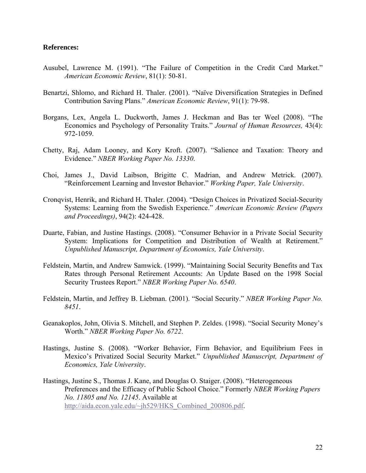### **References:**

- Ausubel, Lawrence M. (1991). "The Failure of Competition in the Credit Card Market." *American Economic Review*, 81(1): 50-81.
- Benartzi, Shlomo, and Richard H. Thaler. (2001). "Naïve Diversification Strategies in Defined Contribution Saving Plans." *American Economic Review*, 91(1): 79-98.
- Borgans, Lex, Angela L. Duckworth, James J. Heckman and Bas ter Weel (2008). "The Economics and Psychology of Personality Traits." *Journal of Human Resources,* 43(4): 972-1059.
- Chetty, Raj, Adam Looney, and Kory Kroft. (2007). "Salience and Taxation: Theory and Evidence." *NBER Working Paper No. 13330*.
- Choi, James J., David Laibson, Brigitte C. Madrian, and Andrew Metrick. (2007). "Reinforcement Learning and Investor Behavior." *Working Paper, Yale University*.
- Cronqvist, Henrik, and Richard H. Thaler. (2004). "Design Choices in Privatized Social-Security Systems: Learning from the Swedish Experience." *American Economic Review (Papers and Proceedings)*, 94(2): 424-428.
- Duarte, Fabian, and Justine Hastings. (2008). "Consumer Behavior in a Private Social Security System: Implications for Competition and Distribution of Wealth at Retirement." *Unpublished Manuscript, Department of Economics, Yale University*.
- Feldstein, Martin, and Andrew Samwick. (1999). "Maintaining Social Security Benefits and Tax Rates through Personal Retirement Accounts: An Update Based on the 1998 Social Security Trustees Report." *NBER Working Paper No. 6540*.
- Feldstein, Martin, and Jeffrey B. Liebman. (2001). "Social Security." *NBER Working Paper No. 8451*.
- Geanakoplos, John, Olivia S. Mitchell, and Stephen P. Zeldes. (1998). "Social Security Money's Worth." *NBER Working Paper No. 6722*.
- Hastings, Justine S. (2008). "Worker Behavior, Firm Behavior, and Equilibrium Fees in Mexico's Privatized Social Security Market." *Unpublished Manuscript, Department of Economics, Yale University*.
- Hastings, Justine S., Thomas J. Kane, and Douglas O. Staiger. (2008). "Heterogeneous Preferences and the Efficacy of Public School Choice." Formerly *NBER Working Papers No. 11805 and No. 12145*. Available at http://aida.econ.yale.edu/~jh529/HKS\_Combined\_200806.pdf.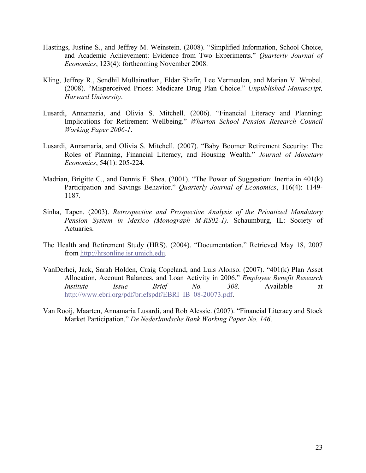- Hastings, Justine S., and Jeffrey M. Weinstein. (2008). "Simplified Information, School Choice, and Academic Achievement: Evidence from Two Experiments." *Quarterly Journal of Economics*, 123(4): forthcoming November 2008.
- Kling, Jeffrey R., Sendhil Mullainathan, Eldar Shafir, Lee Vermeulen, and Marian V. Wrobel. (2008). "Misperceived Prices: Medicare Drug Plan Choice." *Unpublished Manuscript, Harvard University*.
- Lusardi, Annamaria, and Olivia S. Mitchell. (2006). "Financial Literacy and Planning: Implications for Retirement Wellbeing." *Wharton School Pension Research Council Working Paper 2006-1*.
- Lusardi, Annamaria, and Olivia S. Mitchell. (2007). "Baby Boomer Retirement Security: The Roles of Planning, Financial Literacy, and Housing Wealth." *Journal of Monetary Economics*, 54(1): 205-224.
- Madrian, Brigitte C., and Dennis F. Shea. (2001). "The Power of Suggestion: Inertia in 401(k) Participation and Savings Behavior." *Quarterly Journal of Economics*, 116(4): 1149- 1187.
- Sinha, Tapen. (2003). *Retrospective and Prospective Analysis of the Privatized Mandatory Pension System in Mexico (Monograph M-RS02-1)*. Schaumburg, IL: Society of Actuaries.
- The Health and Retirement Study (HRS). (2004). "Documentation." Retrieved May 18, 2007 from http://hrsonline.isr.umich.edu.
- VanDerhei, Jack, Sarah Holden, Craig Copeland, and Luis Alonso. (2007). "401(k) Plan Asset Allocation, Account Balances, and Loan Activity in 2006." *Employee Benefit Research Institute Issue Brief No. 308.* Available at http://www.ebri.org/pdf/briefspdf/EBRI\_IB\_08-20073.pdf.
- Van Rooij, Maarten, Annamaria Lusardi, and Rob Alessie. (2007). "Financial Literacy and Stock Market Participation." *De Nederlandsche Bank Working Paper No. 146*.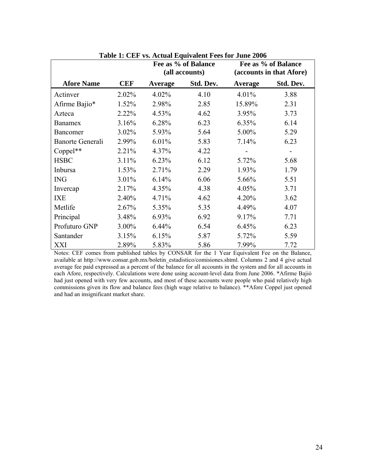|                         |            | Fee as % of Balance<br>(all accounts) |           |         | Fee as % of Balance<br>(accounts in that Afore) |
|-------------------------|------------|---------------------------------------|-----------|---------|-------------------------------------------------|
| <b>Afore Name</b>       | <b>CEF</b> | Average                               | Std. Dev. | Average | Std. Dev.                                       |
| Actinver                | 2.02%      | 4.02%                                 | 4.10      | 4.01%   | 3.88                                            |
| Afirme Bajío*           | 1.52%      | 2.98%                                 | 2.85      | 15.89%  | 2.31                                            |
| Azteca                  | 2.22%      | 4.53%                                 | 4.62      | 3.95%   | 3.73                                            |
| <b>Banamex</b>          | 3.16%      | 6.28%                                 | 6.23      | 6.35%   | 6.14                                            |
| Bancomer                | 3.02%      | 5.93%                                 | 5.64      | 5.00%   | 5.29                                            |
| <b>Banorte Generali</b> | 2.99%      | 6.01%                                 | 5.83      | 7.14%   | 6.23                                            |
| Coppel**                | 2.21%      | 4.37%                                 | 4.22      |         |                                                 |
| <b>HSBC</b>             | $3.11\%$   | 6.23%                                 | 6.12      | 5.72%   | 5.68                                            |
| Inbursa                 | 1.53%      | 2.71%                                 | 2.29      | 1.93%   | 1.79                                            |
| <b>ING</b>              | 3.01%      | 6.14%                                 | 6.06      | 5.66%   | 5.51                                            |
| Invercap                | 2.17%      | 4.35%                                 | 4.38      | 4.05%   | 3.71                                            |
| <b>IXE</b>              | 2.40%      | 4.71%                                 | 4.62      | 4.20%   | 3.62                                            |
| Metlife                 | 2.67%      | 5.35%                                 | 5.35      | 4.49%   | 4.07                                            |
| Principal               | 3.48%      | 6.93%                                 | 6.92      | 9.17%   | 7.71                                            |
| Profuturo GNP           | 3.00%      | $6.44\%$                              | 6.54      | 6.45%   | 6.23                                            |
| Santander               | 3.15%      | 6.15%                                 | 5.87      | 5.72%   | 5.59                                            |
| XXI                     | 2.89%      | 5.83%                                 | 5.86      | 7.99%   | 7.72                                            |

**Table 1: CEF vs. Actual Equivalent Fees for June 2006** 

Notes: CEF comes from published tables by CONSAR for the 1 Year Equivalent Fee on the Balance, available at http://www.consar.gob.mx/boletin\_estadistico/comisiones.shtml. Columns 2 and 4 give actual average fee paid expressed as a percent of the balance for all accounts in the system and for all accounts in each Afore, respectively. Calculations were done using account-level data from June 2006. \*Afirme Bajió had just opened with very few accounts, and most of these accounts were people who paid relatively high commissions given its flow and balance fees (high wage relative to balance). \*\*Afore Coppel just opened and had an insignificant market share.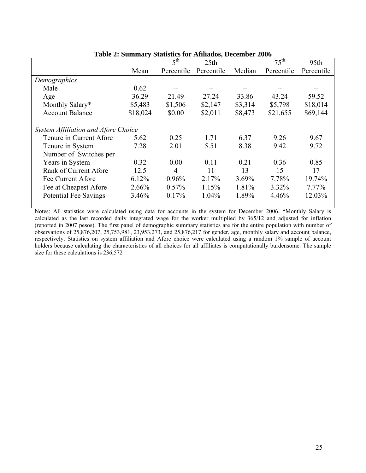|                                     | Table 2. Building y Blaustics for Trimagos, December 2000 |                 |                  |          |                  |            |  |
|-------------------------------------|-----------------------------------------------------------|-----------------|------------------|----------|------------------|------------|--|
|                                     |                                                           | 5 <sup>th</sup> | 25 <sub>th</sub> |          | $75^{\text{th}}$ | 95th       |  |
|                                     | Mean                                                      | Percentile      | Percentile       | Median   | Percentile       | Percentile |  |
| Demographics                        |                                                           |                 |                  |          |                  |            |  |
| Male                                | 0.62                                                      |                 |                  |          |                  |            |  |
| Age                                 | 36.29                                                     | 21.49           | 27.24            | 33.86    | 43.24            | 59.52      |  |
| Monthly Salary*                     | \$5,483                                                   | \$1,506         | \$2,147          | \$3,314  | \$5,798          | \$18,014   |  |
| <b>Account Balance</b>              | \$18,024                                                  | \$0.00          | \$2,011          | \$8,473  | \$21,655         | \$69,144   |  |
| System Affiliation and Afore Choice |                                                           |                 |                  |          |                  |            |  |
| Tenure in Current Afore             | 5.62                                                      | 0.25            | 1.71             | 6.37     | 9.26             | 9.67       |  |
| Tenure in System                    | 7.28                                                      | 2.01            | 5.51             | 8.38     | 9.42             | 9.72       |  |
| Number of Switches per              |                                                           |                 |                  |          |                  |            |  |
| Years in System                     | 0.32                                                      | 0.00            | 0.11             | 0.21     | 0.36             | 0.85       |  |
| Rank of Current Afore               | 12.5                                                      | 4               | 11               | 13       | 15               | 17         |  |
| Fee Current Afore                   | 6.12%                                                     | 0.96%           | 2.17%            | $3.69\%$ | 7.78%            | 19.74%     |  |
| Fee at Cheapest Afore               | 2.66%                                                     | 0.57%           | 1.15%            | 1.81%    | 3.32%            | 7.77%      |  |
| <b>Potential Fee Savings</b>        | 3.46%                                                     | 0.17%           | 1.04%            | 1.89%    | 4.46%            | 12.03%     |  |

**Table 2: Summary Statistics for Afiliados, December 2006** 

Notes: All statistics were calculated using data for accounts in the system for December 2006. \*Monthly Salary is calculated as the last recorded daily integrated wage for the worker multiplied by 365/12 and adjusted for inflation (reported in 2007 pesos). The first panel of demographic summary statistics are for the entire population with number of observations of 25,876,207, 25,753,981, 23,953,273, and 25,876,217 for gender, age, monthly salary and account balance, respectively. Statistics on system affiliation and Afore choice were calculated using a random 1% sample of account holders because calculating the characteristics of all choices for all affiliates is computationally burdensome. The sample size for these calculations is 236,572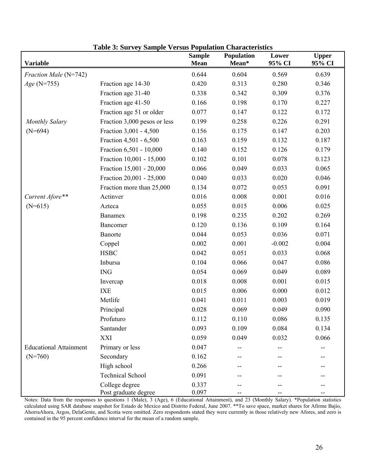| Variable                      |                                        | <b>Sample</b><br><b>Mean</b> | Population<br>Mean* | Lower<br>95% CI | <b>Upper</b><br>95% CI |
|-------------------------------|----------------------------------------|------------------------------|---------------------|-----------------|------------------------|
| Fraction Male (N=742)         |                                        | 0.644                        | 0.604               | 0.569           | 0.639                  |
| $Age (N=755)$                 | Fraction age 14-30                     | 0.420                        | 0.313               | 0.280           | 0.346                  |
|                               | Fraction age 31-40                     | 0.338                        | 0.342               | 0.309           | 0.376                  |
|                               | Fraction age 41-50                     | 0.166                        | 0.198               | 0.170           | 0.227                  |
|                               | Fraction age 51 or older               | 0.077                        | 0.147               | 0.122           | 0.172                  |
| <b>Monthly Salary</b>         | Fraction 3,000 pesos or less           | 0.199                        | 0.258               | 0.226           | 0.291                  |
| $(N=694)$                     | Fraction 3,001 - 4,500                 | 0.156                        | 0.175               | 0.147           | 0.203                  |
|                               | Fraction 4,501 - 6,500                 | 0.163                        | 0.159               | 0.132           | 0.187                  |
|                               | Fraction 6,501 - 10,000                | 0.140                        | 0.152               | 0.126           | 0.179                  |
|                               | Fraction 10,001 - 15,000               | 0.102                        | 0.101               | 0.078           | 0.123                  |
|                               | Fraction 15,001 - 20,000               | 0.066                        | 0.049               | 0.033           | 0.065                  |
|                               | Fraction 20,001 - 25,000               | 0.040                        | 0.033               | 0.020           | 0.046                  |
|                               | Fraction more than 25,000              | 0.134                        | 0.072               | 0.053           | 0.091                  |
| Current Afore**               | Actinver                               | 0.016                        | 0.008               | 0.001           | 0.016                  |
| $(N=615)$                     | Azteca                                 | 0.055                        | 0.015               | 0.006           | 0.025                  |
|                               | Banamex                                | 0.198                        | 0.235               | 0.202           | 0.269                  |
|                               | Bancomer                               | 0.120                        | 0.136               | 0.109           | 0.164                  |
|                               | Banorte                                | 0.044                        | 0.053               | 0.036           | 0.071                  |
|                               | Coppel                                 | 0.002                        | 0.001               | $-0.002$        | 0.004                  |
|                               | <b>HSBC</b>                            | 0.042                        | 0.051               | 0.033           | 0.068                  |
|                               | Inbursa                                | 0.104                        | 0.066               | 0.047           | 0.086                  |
|                               | $\rm{ING}$                             | 0.054                        | 0.069               | 0.049           | 0.089                  |
|                               | Invercap                               | 0.018                        | 0.008               | 0.001           | 0.015                  |
|                               | <b>IXE</b>                             | 0.015                        | 0.006               | 0.000           | 0.012                  |
|                               | Metlife                                | 0.041                        | 0.011               | 0.003           | 0.019                  |
|                               | Principal                              | 0.028                        | 0.069               | 0.049           | 0.090                  |
|                               | Profuturo                              | 0.112                        | 0.110               | 0.086           | 0.135                  |
|                               | Santander                              | 0.093                        | 0.109               | 0.084           | 0.134                  |
|                               | XXI                                    | 0.059                        | 0.049               | 0.032           | 0.066                  |
| <b>Educational Attainment</b> | Primary or less                        | 0.047                        |                     |                 |                        |
| $(N=760)$                     | Secondary                              | 0.162                        |                     |                 |                        |
|                               | High school                            | 0.266                        |                     |                 |                        |
|                               | <b>Technical School</b>                | 0.091                        |                     |                 |                        |
|                               | College degree<br>Post graduate degree | 0.337<br>0.097               |                     |                 |                        |

**Table 3: Survey Sample Versus Population Characteristics** 

Notes: Data from the responses to questions 1 (Male), 3 (Age), 6 (Educational Attainment), and 23 (Monthly Salary). \*Population statistics calculated using SAR database snapshot for Estado de Mexico and Distrito Federal, June 2007. \*\*To save space, market shares for Afirme Bajío, AhorraAhora, Argos, DelaGente, and Scotia were omitted. Zero respondents stated they were currently in those relatively new Afores, and zero is contained in the 95 percent confidence interval for the mean of a random sample.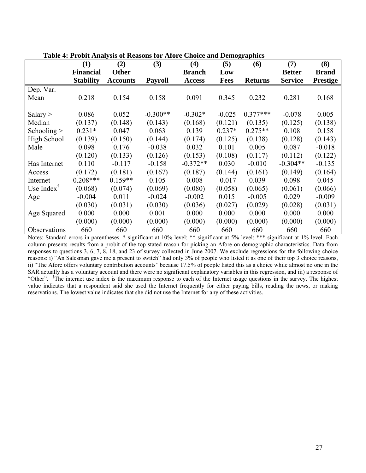|                                           | (1)              | (2)             | (3)            | (4)           | (5)         | (6)            | (7)            | (8)             |
|-------------------------------------------|------------------|-----------------|----------------|---------------|-------------|----------------|----------------|-----------------|
|                                           | <b>Financial</b> | <b>Other</b>    |                | <b>Branch</b> | Low         |                | <b>Better</b>  | <b>Brand</b>    |
|                                           | <b>Stability</b> | <b>Accounts</b> | <b>Payroll</b> | <b>Access</b> | <b>Fees</b> | <b>Returns</b> | <b>Service</b> | <b>Prestige</b> |
| Dep. Var.                                 |                  |                 |                |               |             |                |                |                 |
| Mean                                      | 0.218            | 0.154           | 0.158          | 0.091         | 0.345       | 0.232          | 0.281          | 0.168           |
|                                           |                  |                 |                |               |             |                |                |                 |
| Salary $>$                                | 0.086            | 0.052           | $-0.300**$     | $-0.302*$     | $-0.025$    | $0.377***$     | $-0.078$       | 0.005           |
| Median                                    | (0.137)          | (0.148)         | (0.143)        | (0.168)       | (0.121)     | (0.135)        | (0.125)        | (0.138)         |
| Schooling $>$                             | $0.231*$         | 0.047           | 0.063          | 0.139         | $0.237*$    | $0.275**$      | 0.108          | 0.158           |
| High School                               | (0.139)          | (0.150)         | (0.144)        | (0.174)       | (0.125)     | (0.138)        | (0.128)        | (0.143)         |
| Male                                      | 0.098            | 0.176           | $-0.038$       | 0.032         | 0.101       | 0.005          | 0.087          | $-0.018$        |
|                                           | (0.120)          | (0.133)         | (0.126)        | (0.153)       | (0.108)     | (0.117)        | (0.112)        | (0.122)         |
| Has Internet                              | 0.110            | $-0.117$        | $-0.158$       | $-0.372**$    | 0.030       | $-0.010$       | $-0.304**$     | $-0.135$        |
| Access                                    | (0.172)          | (0.181)         | (0.167)        | (0.187)       | (0.144)     | (0.161)        | (0.149)        | (0.164)         |
| Internet                                  | $0.208***$       | $0.159**$       | 0.105          | 0.008         | $-0.017$    | 0.039          | 0.098          | 0.045           |
| Use Index <sup><math>\mathbf</math></sup> | (0.068)          | (0.074)         | (0.069)        | (0.080)       | (0.058)     | (0.065)        | (0.061)        | (0.066)         |
| Age                                       | $-0.004$         | 0.011           | $-0.024$       | $-0.002$      | 0.015       | $-0.005$       | 0.029          | $-0.009$        |
|                                           | (0.030)          | (0.031)         | (0.030)        | (0.036)       | (0.027)     | (0.029)        | (0.028)        | (0.031)         |
| Age Squared                               | 0.000            | 0.000           | 0.001          | 0.000         | 0.000       | 0.000          | 0.000          | 0.000           |
|                                           | (0.000)          | (0.000)         | (0.000)        | (0.000)       | (0.000)     | (0.000)        | (0.000)        | (0.000)         |
| Observations                              | 660              | 660             | 660            | 660           | 660         | 660            | 660            | 660             |

Notes: Standard errors in parentheses. \* significant at 10% level; \*\* significant at 5% level; \*\*\* significant at 1% level. Each column presents results from a probit of the top stated reason for picking an Afore on demographic characteristics. Data from responses to questions 3, 6, 7, 8, 18, and 23 of survey collected in June 2007. We exclude regressions for the following choice reasons: i) "An Salesman gave me a present to switch" had only 3% of people who listed it as one of their top 3 choice reasons, ii) "The Afore offers voluntary contribution accounts" because 17.5% of people listed this as a choice while almost no one in the SAR actually has a voluntary account and there were no significant explanatory variables in this regression, and iii) a response of "Other". <sup>†</sup>The internet use index is the maximum response to each of the Internet usage questions in the survey. The highest value indicates that a respondent said she used the Internet frequently for either paying bills, reading the news, or making reservations. The lowest value indicates that she did not use the Internet for any of these activities.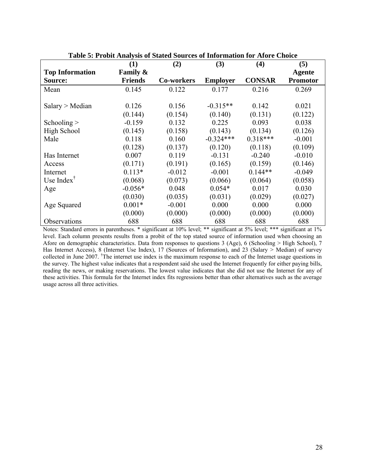|                                                   | (1)                 | (2)        | (3)             | (4)           | (5)             |
|---------------------------------------------------|---------------------|------------|-----------------|---------------|-----------------|
| <b>Top Information</b>                            | <b>Family &amp;</b> |            |                 |               | Agente          |
| Source:                                           | <b>Friends</b>      | Co-workers | <b>Employer</b> | <b>CONSAR</b> | <b>Promotor</b> |
| Mean                                              | 0.145               | 0.122      | 0.177           | 0.216         | 0.269           |
|                                                   |                     |            |                 |               |                 |
| Salary > Median                                   | 0.126               | 0.156      | $-0.315**$      | 0.142         | 0.021           |
|                                                   | (0.144)             | (0.154)    | (0.140)         | (0.131)       | (0.122)         |
| Schooling $>$                                     | $-0.159$            | 0.132      | 0.225           | 0.093         | 0.038           |
| High School                                       | (0.145)             | (0.158)    | (0.143)         | (0.134)       | (0.126)         |
| Male                                              | 0.118               | 0.160      | $-0.324***$     | $0.318***$    | $-0.001$        |
|                                                   | (0.128)             | (0.137)    | (0.120)         | (0.118)       | (0.109)         |
| Has Internet                                      | 0.007               | 0.119      | $-0.131$        | $-0.240$      | $-0.010$        |
| Access                                            | (0.171)             | (0.191)    | (0.165)         | (0.159)       | (0.146)         |
| Internet                                          | $0.113*$            | $-0.012$   | $-0.001$        | $0.144**$     | $-0.049$        |
| Use Index <sup><math>\mathsf{\bar{}}</math></sup> | (0.068)             | (0.073)    | (0.066)         | (0.064)       | (0.058)         |
| Age                                               | $-0.056*$           | 0.048      | $0.054*$        | 0.017         | 0.030           |
|                                                   | (0.030)             | (0.035)    | (0.031)         | (0.029)       | (0.027)         |
| Age Squared                                       | $0.001*$            | $-0.001$   | 0.000           | 0.000         | 0.000           |
|                                                   | (0.000)             | (0.000)    | (0.000)         | (0.000)       | (0.000)         |
| Observations                                      | 688                 | 688        | 688             | 688           | 688             |

**Table 5: Probit Analysis of Stated Sources of Information for Afore Choice** 

Notes: Standard errors in parentheses. \* significant at 10% level; \*\* significant at 5% level; \*\*\* significant at 1% level. Each column presents results from a probit of the top stated source of information used when choosing an Afore on demographic characteristics. Data from responses to questions 3 (Age), 6 (Schooling > High School), 7 Has Internet Access), 8 (Internet Use Index), 17 (Sources of Information), and 23 (Salary > Median) of survey collected in June 2007. † The internet use index is the maximum response to each of the Internet usage questions in the survey. The highest value indicates that a respondent said she used the Internet frequently for either paying bills, reading the news, or making reservations. The lowest value indicates that she did not use the Internet for any of these activities. This formula for the Internet index fits regressions better than other alternatives such as the average usage across all three activities.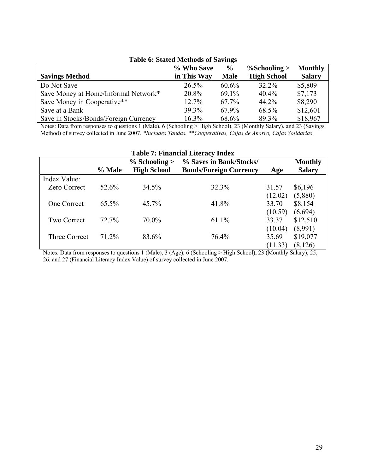|                                       | % Who Save  | $\frac{6}{9}$ | $\%$ Schooling >   | <b>Monthly</b> |
|---------------------------------------|-------------|---------------|--------------------|----------------|
| <b>Savings Method</b>                 | in This Way | <b>Male</b>   | <b>High School</b> | <b>Salary</b>  |
| Do Not Save                           | $26.5\%$    | 60.6%         | 32.2%              | \$5,809        |
| Save Money at Home/Informal Network*  | 20.8%       | $69.1\%$      | $40.4\%$           | \$7,173        |
| Save Money in Cooperative**           | 12.7%       | 67.7%         | 44.2%              | \$8,290        |
| Save at a Bank                        | 39.3%       | 67.9%         | 68.5%              | \$12,601       |
| Save in Stocks/Bonds/Foreign Currency | $16.3\%$    | 68.6%         | 89.3%              | \$18,967       |

# **Table 6: Stated Methods of Savings**

Notes: Data from responses to questions 1 (Male), 6 (Schooling > High School), 23 (Monthly Salary), and 23 (Savings Method) of survey collected in June 2007. *\*Includes Tandas.* \*\**Cooperativas, Cajas de Ahorro, Cajas Solidarias*.

| <b>Table 7: Financial Literacy Index</b> |          |                    |                               |         |                |  |  |  |
|------------------------------------------|----------|--------------------|-------------------------------|---------|----------------|--|--|--|
|                                          |          | $%$ Schooling $>$  | % Saves in Bank/Stocks/       |         | <b>Monthly</b> |  |  |  |
|                                          | % Male   | <b>High School</b> | <b>Bonds/Foreign Currency</b> | Age     | <b>Salary</b>  |  |  |  |
| Index Value:                             |          |                    |                               |         |                |  |  |  |
| <b>Zero Correct</b>                      | 52.6%    | 34.5%              | 32.3%                         | 31.57   | \$6,196        |  |  |  |
|                                          |          |                    |                               | (12.02) | (5,880)        |  |  |  |
| <b>One Correct</b>                       | $65.5\%$ | $45.7\%$           | 41.8%                         | 33.70   | \$8,154        |  |  |  |
|                                          |          |                    |                               | (10.59) | (6,694)        |  |  |  |
| <b>Two Correct</b>                       | 72.7%    | $70.0\%$           | 61.1%                         | 33.37   | \$12,510       |  |  |  |
|                                          |          |                    |                               | (10.04) | (8,991)        |  |  |  |
| Three Correct                            | 71.2%    | 83.6%              | 76.4%                         | 35.69   | \$19,077       |  |  |  |
|                                          |          |                    |                               | (11.33) | (8, 126)       |  |  |  |

Notes: Data from responses to questions 1 (Male), 3 (Age), 6 (Schooling > High School), 23 (Monthly Salary), 25, 26, and 27 (Financial Literacy Index Value) of survey collected in June 2007.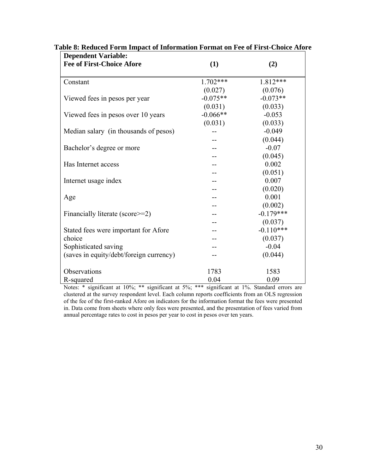| <b>Dependent Variable:</b>              |            |             |
|-----------------------------------------|------------|-------------|
| <b>Fee of First-Choice Afore</b>        | (1)        | (2)         |
| Constant                                | $1.702***$ | $1.812***$  |
|                                         | (0.027)    | (0.076)     |
| Viewed fees in pesos per year           | $-0.075**$ | $-0.073**$  |
|                                         | (0.031)    | (0.033)     |
| Viewed fees in pesos over 10 years      | $-0.066**$ | $-0.053$    |
|                                         | (0.031)    | (0.033)     |
| Median salary (in thousands of pesos)   |            | $-0.049$    |
|                                         |            | (0.044)     |
| Bachelor's degree or more               |            | $-0.07$     |
|                                         |            | (0.045)     |
| Has Internet access                     |            | 0.002       |
|                                         |            | (0.051)     |
| Internet usage index                    |            | 0.007       |
|                                         |            | (0.020)     |
| Age                                     |            | 0.001       |
|                                         |            | (0.002)     |
| Financially literate (score>=2)         |            | $-0.179***$ |
|                                         |            | (0.037)     |
| Stated fees were important for Afore    |            | $-0.110***$ |
| choice                                  |            | (0.037)     |
| Sophisticated saving                    |            | $-0.04$     |
| (saves in equity/debt/foreign currency) |            | (0.044)     |
| Observations                            | 1783       | 1583        |
| R-squared                               | 0.04       | 0.09        |

# **Table 8: Reduced Form Impact of Information Format on Fee of First-Choice Afore**

Notes: \* significant at 10%; \*\* significant at 5%; \*\*\* significant at 1%. Standard errors are clustered at the survey respondent level. Each column reports coefficients from an OLS regression of the fee of the first-ranked Afore on indicators for the information format the fees were presented in. Data come from sheets where only fees were presented, and the presentation of fees varied from annual percentage rates to cost in pesos per year to cost in pesos over ten years.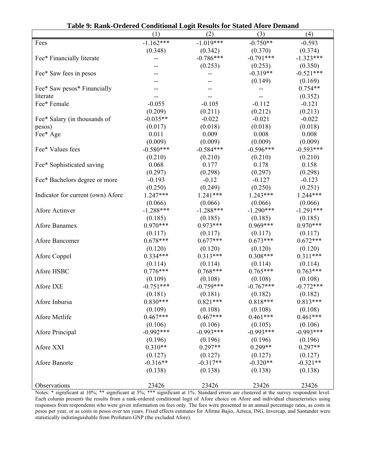| таліс 77 канці Отастса Сонаннопаг доди кезанія гог байса тибі с Деніана | (1)                    | (2)                    | (3)                    | (4)                    |
|-------------------------------------------------------------------------|------------------------|------------------------|------------------------|------------------------|
| Fees                                                                    | $-1.162***$            | $-1.019***$            | $-0.750**$             | $-0.593$               |
|                                                                         | (0.348)                | (0.342)                | (0.370)                | (0.374)                |
| Fee* Financially literate                                               | --                     | $-0.786***$            | $-0.791***$            | $-1.323***$            |
|                                                                         |                        | (0.253)                | (0.253)                | (0.350)                |
| Fee* Saw fees in pesos                                                  |                        |                        | $-0.319**$             | $-0.521***$            |
|                                                                         |                        |                        | (0.149)                | (0.169)                |
| Fee* Saw pesos* Financially                                             |                        |                        |                        | $0.754**$              |
| literate                                                                |                        |                        |                        | (0.352)                |
| Fee* Female                                                             | $-0.055$               | $-0.105$               | $-0.112$               | $-0.121$               |
|                                                                         | (0.209)                | (0.211)                | (0.212)                | (0.213)                |
| Fee* Salary (in thousands of                                            | $-0.035**$             | $-0.022$               | $-0.021$               | $-0.022$               |
| pesos)                                                                  | (0.017)                | (0.018)                | (0.018)                | (0.018)                |
| Fee* Age                                                                | 0.011                  | 0.009                  | 0.008                  | 0.008                  |
| Fee* Values fees                                                        | (0.009)<br>$-0.580***$ | (0.009)<br>$-0.584***$ | (0.009)<br>$-0.596***$ | (0.009)<br>$-0.593***$ |
|                                                                         | (0.210)                | (0.210)                | (0.210)                | (0.210)                |
| Fee* Sophisticated saving                                               | 0.068                  | 0.177                  | 0.178                  | 0.158                  |
|                                                                         | (0.297)                | (0.298)                | (0.297)                | (0.298)                |
| Fee* Bachelors degree or more                                           | $-0.193$               | $-0.12$                | $-0.127$               | $-0.123$               |
|                                                                         | (0.250)                | (0.249)                | (0.250)                | (0.251)                |
| Indicator for current (own) Afore                                       | $1.247***$             | $1.241***$             | $1.243***$             | $1.244***$             |
|                                                                         | (0.066)                | (0.066)                | (0.066)                | (0.066)                |
| Afore Actinver                                                          | $-1.288***$            | $-1.288***$            | $-1.290***$            | $-1.291***$            |
|                                                                         | (0.185)                | (0.185)                | (0.185)                | (0.185)                |
| Afore Banamex                                                           | $0.970***$             | $0.973***$             | $0.969***$             | $0.970***$             |
|                                                                         | (0.117)                | (0.117)                | (0.117)                | (0.117)                |
| Afore Bancomer                                                          | $0.678***$             | $0.677***$             | $0.673***$             | $0.672***$             |
|                                                                         | (0.120)                | (0.120)                | (0.120)                | (0.120)                |
| Afore Coppel                                                            | $0.334***$             | $0.313***$             | $0.308***$             | $0.311***$             |
|                                                                         | (0.114)                | (0.114)                | (0.114)                | (0.114)                |
| Afore HSBC                                                              | $0.776***$             | $0.768***$             | $0.765***$             | $0.763***$             |
|                                                                         | (0.109)<br>$-0.751***$ | (0.108)                | (0.108)                | (0.108)                |
| Afore IXE                                                               |                        | $-0.759***$            | $-0.767***$            | $-0.772***$            |
| Afore Inbursa                                                           | (0.181)<br>$0.830***$  | (0.181)<br>$0.821***$  | (0.182)<br>$0.818***$  | (0.182)<br>$0.813***$  |
|                                                                         | (0.109)                | (0.108)                | (0.108)                | (0.108)                |
| Afore Metlife                                                           | $0.467***$             | $0.467***$             | $0.461***$             | $0.461***$             |
|                                                                         | (0.106)                | (0.106)                | (0.105)                | (0.106)                |
| Afore Principal                                                         | $-0.992***$            | $-0.993***$            | $-0.993***$            | $-0.993***$            |
|                                                                         | (0.196)                | (0.196)                | (0.196)                | (0.196)                |
| Afore XXI                                                               | $0.310**$              | $0.297**$              | $0.299**$              | $0.297**$              |
|                                                                         | (0.127)                | (0.127)                | (0.127)                | (0.127)                |
| Afore Banorte                                                           | $-0.316**$             | $-0.317**$             | $-0.320**$             | $-0.321**$             |
|                                                                         | (0.138)                | (0.138)                | (0.138)                | (0.138)                |
|                                                                         |                        |                        |                        |                        |
| Observations                                                            | 23426                  | 23426                  | 23426                  | 23426                  |

**Table 9: Rank-Ordered Conditional Logit Results for Stated Afore Demand** 

Notes: \* significant at 10%; \*\* significant at 5%; \*\*\* significant at 1%. Standard errors are clustered at the survey respondent level. Each column presents the results from a rank-ordered conditional logit of Afore choice on Afore and individual characteristics using responses from respondents who were given information on fees only. The fees were presented in an annual percentage rates, as costs in pesos per year, or as costs in pesos over ten years. Fixed effects estimates for Afirme Bajio, Azteca, ING, Invercap, and Santander were statistically indistinguishable from Profuturo GNP (the excluded Afore).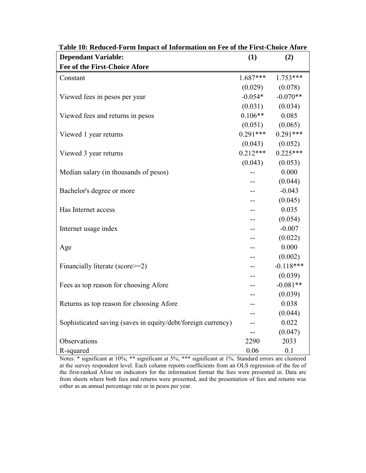| <b>Dependant Variable:</b>                                   | (1)        | (2)         |
|--------------------------------------------------------------|------------|-------------|
| <b>Fee of the First-Choice Afore</b>                         |            |             |
| Constant                                                     | $1.687***$ | $1.753***$  |
|                                                              | (0.029)    | (0.078)     |
| Viewed fees in pesos per year                                | $-0.054*$  | $-0.070**$  |
|                                                              | (0.031)    | (0.034)     |
| Viewed fees and returns in pesos                             | $0.106**$  | 0.085       |
|                                                              | (0.051)    | (0.065)     |
| Viewed 1 year returns                                        | $0.291***$ | $0.291***$  |
|                                                              | (0.043)    | (0.052)     |
| Viewed 3 year returns                                        | $0.212***$ | $0.225***$  |
|                                                              | (0.043)    | (0.053)     |
| Median salary (in thousands of pesos)                        |            | 0.000       |
|                                                              | --         | (0.044)     |
| Bachelor's degree or more                                    |            | $-0.043$    |
|                                                              |            | (0.045)     |
| Has Internet access                                          |            | 0.035       |
|                                                              | --         | (0.054)     |
| Internet usage index                                         |            | $-0.007$    |
|                                                              |            | (0.022)     |
| Age                                                          | --         | 0.000       |
|                                                              |            | (0.002)     |
| Financially literate (score>=2)                              |            | $-0.118***$ |
|                                                              |            | (0.039)     |
| Fees as top reason for choosing Afore                        |            | $-0.081**$  |
|                                                              |            | (0.039)     |
| Returns as top reason for choosing Afore                     | --         | 0.038       |
|                                                              |            | (0.044)     |
| Sophisticated saving (saves in equity/debt/foreign currency) |            | 0.022       |
|                                                              |            | (0.047)     |
| Observations                                                 | 2290       | 2033        |
| R-squared                                                    | 0.06       | 0.1         |

**Table 10: Reduced-Form Impact of Information on Fee of the First-Choice Afore** 

Notes: \* significant at 10%; \*\* significant at 5%; \*\*\* significant at 1%. Standard errors are clustered at the survey respondent level. Each column reports coefficients from an OLS regression of the fee of the first-ranked Afore on indicators for the information format the fees were presented in. Data are from sheets where both fees and returns were presented, and the presentation of fees and returns was either as an annual percentage rate or in pesos per year.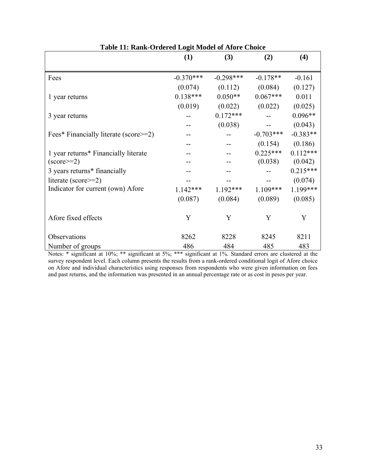|                                       | (1)         | (3)         | (2)         | (4)        |
|---------------------------------------|-------------|-------------|-------------|------------|
| Fees                                  | $-0.370***$ | $-0.298***$ | $-0.178**$  | $-0.161$   |
|                                       | (0.074)     | (0.112)     | (0.084)     | (0.127)    |
| 1 year returns                        | $0.138***$  | $0.050**$   | $0.067***$  | 0.011      |
|                                       | (0.019)     | (0.022)     | (0.022)     | (0.025)    |
| 3 year returns                        |             | $0.172***$  |             | $0.096**$  |
|                                       |             | (0.038)     |             | (0.043)    |
| Fees* Financially literate (score>=2) |             |             | $-0.703***$ | $-0.383**$ |
|                                       |             |             | (0.154)     | (0.186)    |
| 1 year returns* Financially literate  |             |             | $0.225***$  | $0.112***$ |
| $\text{(score)} = 2$                  |             |             | (0.038)     | (0.042)    |
| 3 years returns* financially          |             |             |             | $0.215***$ |
| literate (score>=2)                   |             |             |             | (0.074)    |
| Indicator for current (own) Afore     | $1.142***$  | $1.192***$  | $1.109***$  | 1.199***   |
|                                       | (0.087)     | (0.084)     | (0.089)     | (0.085)    |
| Afore fixed effects                   | Y           | Y           | Y           | Y          |
| Observations                          | 8262        | 8228        | 8245        | 8211       |
| Number of groups                      | 486         | 484         | 485         | 483        |

| Table 11: Rank-Ordered Logit Model of Afore Choice |
|----------------------------------------------------|
|----------------------------------------------------|

Notes: \* significant at 10%; \*\* significant at 5%; \*\*\* significant at 1%. Standard errors are clustered at the survey respondent level. Each column presents the results from a rank-ordered conditional logit of Afore choice on Afore and individual characteristics using responses from respondents who were given information on fees and past returns, and the information was presented in an annual percentage rate or as cost in pesos per year.